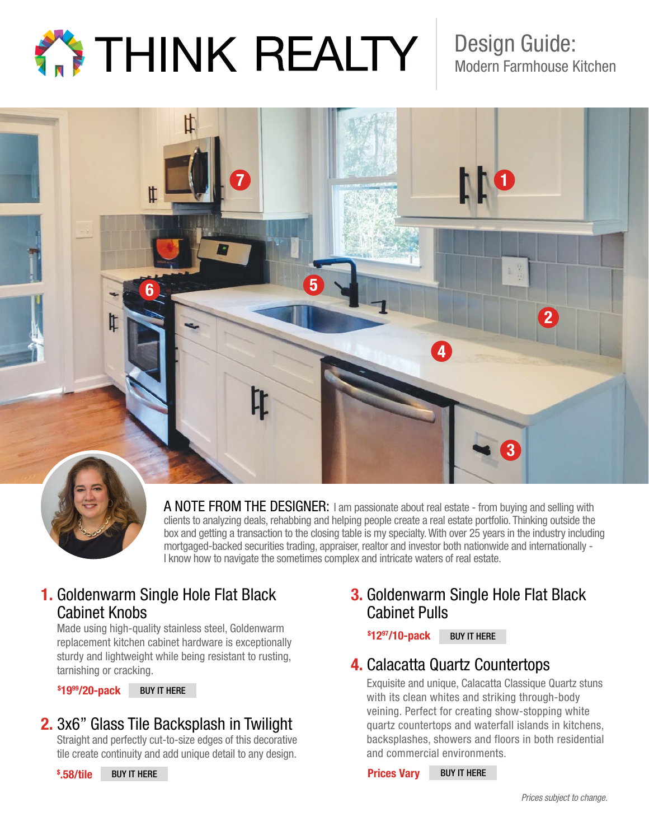

Design Guide: Modern Farmhouse Kitchen



A NOTE FROM THE DESIGNER: I am passionate about real estate - from buying and selling with clients to analyzing deals, rehabbing and helping people create a real estate portfolio. Thinking outside the box and getting a transaction to the closing table is my specialty. With over 25 years in the industry including mortgaged-backed securities trading, appraiser, realtor and investor both nationwide and internationally - I know how to navigate the sometimes complex and intricate waters of real estate.

### 1. Goldenwarm Single Hole Flat Black Cabinet Knobs

Made using high-quality stainless steel, Goldenwarm replacement kitchen cabinet hardware is exceptionally sturdy and lightweight while being resistant to rusting, tarnishing or cracking.

\$ 1999/20-pack [BUY IT HERE](https://www.amazon.com/Stainless-Cupboard-Bathroom-Wardrobe-Center%EF%BC%9A8-4/dp/B07J9YMGD3/ref=sr_1_18_sspa?keywords=Goldenwarm+Single+Hole+Flat+Black+Cabinet+Pulls&qid=1566508087&s=gateway&sr=8-18-spons&psc=1&spLa=ZW5jcnlwdGVkUXVhbGlmaWVyPUE2WTNSNlQ3UjdDS0omZW5jcnlwdGVkSWQ9QTAyMDAxMDAzT0E4WEhYRkJJVVpRJmVuY3J5cHRlZEFkSWQ9QTA3MzMyNTcxVVoxOENOSTc0S05aJndpZGdldE5hbWU9c3BfbXRmJmFjdGlvbj1jbGlja1JlZGlyZWN0JmRvTm90TG9nQ2xpY2s9dHJ1ZQ==)

# 2. 3x6" Glass Tile Backsplash in Twilight

Straight and perfectly cut-to-size edges of this decorative tile create continuity and add unique detail to any design.

### 3. Goldenwarm Single Hole Flat Black Cabinet Pulls

#### \$ 1297/10-pack [BUY IT HERE](https://www.amazon.com/Goldenwarm-Cabinet-Cupboards-Furniture-Stainless/dp/B07MCTZ46F/ref=asc_df_B076J8NY3F/?tag=hyprod-20&linkCode=df0&hvadid=241957922100&hvpos=1o2&hvnetw=g&hvrand=8931045528983641328&hvpone=&hvptwo=&hvqmt=&hvdev=c&hvdvcmdl=&hvlocint=&hvlocphy=9023221&hvtargid=pla-403576906716&th=1)

## 4. Calacatta Quartz Countertops

Exquisite and unique, Calacatta Classique Quartz stuns with its clean whites and striking through-body veining. Perfect for creating show-stopping white quartz countertops and waterfall islands in kitchens, backsplashes, showers and floors in both residential and commercial environments.

 Prices Vary [BUY IT HERE](https://www.msisurfaces.com/quartz-countertops/calacatta-classique-quartz/)